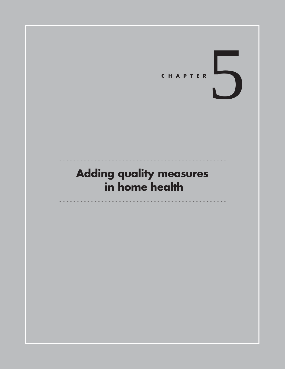

# **Adding quality measures in home health**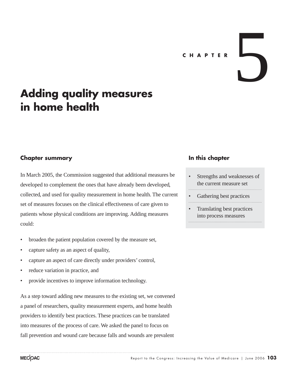# **CHAPTER**

# **Adding quality measures in home health**

#### **Chapter summary**

In March 2005, the Commission suggested that additional measures be developed to complement the ones that have already been developed, collected, and used for quality measurement in home health. The current set of measures focuses on the clinical effectiveness of care given to patients whose physical conditions are improving. Adding measures could:

- broaden the patient population covered by the measure set,
- capture safety as an aspect of quality,
- capture an aspect of care directly under providers' control,
- reduce variation in practice, and
- provide incentives to improve information technology.

As a step toward adding new measures to the existing set, we convened a panel of researchers, quality measurement experts, and home health providers to identify best practices. These practices can be translated into measures of the process of care. We asked the panel to focus on fall prevention and wound care because falls and wounds are prevalent

#### **In this chapter**

- Strengths and weaknesses of the current measure set
- Gathering best practices
- Translating best practices into process measures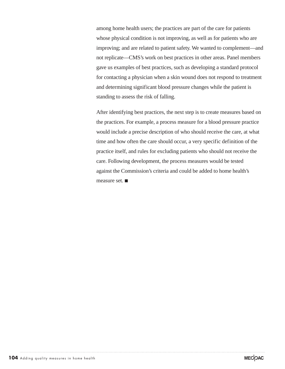among home health users; the practices are part of the care for patients whose physical condition is not improving, as well as for patients who are improving; and are related to patient safety. We wanted to complement—and not replicate—CMS's work on best practices in other areas. Panel members gave us examples of best practices, such as developing a standard protocol for contacting a physician when a skin wound does not respond to treatment and determining significant blood pressure changes while the patient is standing to assess the risk of falling.

After identifying best practices, the next step is to create measures based on the practices. For example, a process measure for a blood pressure practice would include a precise description of who should receive the care, at what time and how often the care should occur, a very specific definition of the practice itself, and rules for excluding patients who should not receive the care. Following development, the process measures would be tested against the Commission's criteria and could be added to home health's measure set.  $\blacksquare$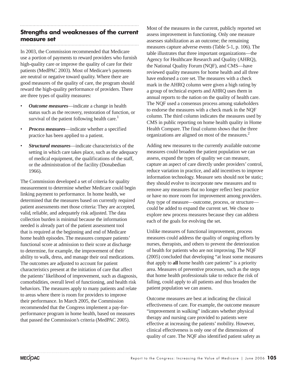## **Strengths and weaknesses of the current measure set**

In 2003, the Commission recommended that Medicare use a portion of payments to reward providers who furnish high-quality care or improve the quality of care for their patients (MedPAC 2003). Most of Medicare's payments are neutral or negative toward quality. Where there are good measures of the quality of care, the program should reward the high-quality performance of providers. There are three types of quality measures:

- *Outcome measures*—indicate a change in health status such as the recovery, restoration of function, or survival of the patient following health care.<sup>1</sup>
- *Process measures*—indicate whether a specified practice has been applied to a patient.
- *Structural measures*—indicate characteristics of the setting in which care takes place, such as the adequacy of medical equipment, the qualifications of the staff, or the administration of the facility (Donabedian 1966).

The Commission developed a set of criteria for quality measurement to determine whether Medicare could begin linking payment to performance. In home health, we determined that the measures based on currently required patient assessments met those criteria: They are accepted, valid, reliable, and adequately risk adjusted. The data collection burden is minimal because the information needed is already part of the patient assessment tool that is required at the beginning and end of Medicare home health episodes. The measures compare patients' functional score at admission to their score at discharge to determine, for example, the improvement of their ability to walk, dress, and manage their oral medications. The outcomes are adjusted to account for patient characteristics present at the initiation of care that affect the patients' likelihood of improvement, such as diagnosis, comorbidities, overall level of functioning, and health risk behaviors. The measures apply to many patients and relate to areas where there is room for providers to improve their performance. In March 2005, the Commission recommended that the Congress implement a pay-forperformance program in home health, based on measures that passed the Commission's criteria (MedPAC 2005).

Most of the measures in the current, publicly reported set assess improvement in functioning. Only one measure assesses stabilization as an outcome; the remaining measures capture adverse events (Table 5-1, p. 106). The table illustrates that three important organizations—the Agency for Healthcare Research and Quality (AHRQ), the National Quality Forum (NQF), and CMS—have reviewed quality measures for home health and all three have endorsed a core set. The measures with a check mark in the AHRQ column were given a high rating by a group of technical experts and AHRQ uses them in annual reports to the nation on the quality of health care. The NQF used a consensus process among stakeholders to endorse the measures with a check mark in the NQF column. The third column indicates the measures used by CMS in public reporting on home health quality in Home Health Compare. The final column shows that the three organizations are aligned on most of the measures.2

Adding new measures to the currently available outcome measures could broaden the patient population we can assess, expand the types of quality we can measure, capture an aspect of care directly under providers' control, reduce variation in practice, and add incentives to improve information technology. Measure sets should not be static; they should evolve to incorporate new measures and to remove any measures that no longer reflect best practice or have no more room for improvement among providers. Any type of measure—outcome, process, or structure could be added to expand the current set. We chose to explore new process measures because they can address each of the goals for evolving the set.

Unlike measures of functional improvement, process measures could address the quality of ongoing efforts by nurses, therapists, and others to prevent the deterioration of health for patients who are not improving. The NQF (2005) concluded that developing "at least some measures that apply to **all** home health care patients" is a priority area. Measures of preventive processes, such as the steps that home health professionals take to reduce the risk of falling, could apply to all patients and thus broaden the patient population we can assess.

Outcome measures are best at indicating the clinical effectiveness of care. For example, the outcome measure "improvement in walking" indicates whether physical therapy and nursing care provided to patients were effective at increasing the patients' mobility. However, clinical effectiveness is only one of the dimensions of quality of care. The NQF also identified patient safety as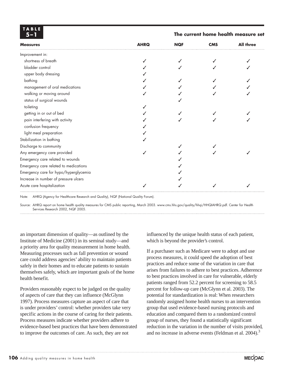| TABLE<br>5– I                         |             | The current home health measure set |            |                  |
|---------------------------------------|-------------|-------------------------------------|------------|------------------|
| <b>Measures</b>                       | <b>AHRQ</b> | <b>NQF</b>                          | <b>CMS</b> | <b>All three</b> |
| Improvement in:                       |             |                                     |            |                  |
| shortness of breath                   |             |                                     |            |                  |
| bladder control                       |             |                                     |            |                  |
| upper body dressing                   |             |                                     |            |                  |
| bathing                               |             |                                     |            |                  |
| management of oral medications        |             |                                     |            |                  |
| walking or moving around              |             |                                     |            |                  |
| status of surgical wounds             |             |                                     |            |                  |
| toileting                             |             |                                     |            |                  |
| getting in or out of bed              |             |                                     |            |                  |
| pain interfering with activity        |             |                                     |            |                  |
| confusion frequency                   |             |                                     |            |                  |
| light meal preparation                |             |                                     |            |                  |
| Stabilization in bathing              |             |                                     |            |                  |
| Discharge to community                |             |                                     |            |                  |
| Any emergency care provided           |             |                                     |            |                  |
| Emergency care related to wounds      |             |                                     |            |                  |
| Emergency care related to medications |             |                                     |            |                  |
| Emergency care for hypo/hyperglycemia |             |                                     |            |                  |
| Increase in number of pressure ulcers |             |                                     |            |                  |
| Acute care hospitalization            |             |                                     |            |                  |

Note: AHRQ (Agency for Healthcare Research and Quality), NQF (National Quality Forum).

Source: AHRQ report on home health quality measures for CMS public reporting, March 2003. www.cms.hhs.gov/quality/hhqi/HHQIAHRQ.pdf. Center for Health Services Research 2002, NQF 2005.

an important dimension of quality—as outlined by the Institute of Medicine (2001) in its seminal study—and a priority area for quality measurement in home health. Measuring processes such as fall prevention or wound care could address agencies' ability to maintain patients safely in their homes and to educate patients to sustain themselves safely, which are important goals of the home health benefit.

Providers reasonably expect to be judged on the quality of aspects of care that they can influence (McGlynn 1997). Process measures capture an aspect of care that is under providers' control: whether providers take very specific actions in the course of caring for their patients. Process measures indicate whether providers adhere to evidence-based best practices that have been demonstrated to improve the outcomes of care. As such, they are not

influenced by the unique health status of each patient, which is beyond the provider's control.

If a purchaser such as Medicare were to adopt and use process measures, it could speed the adoption of best practices and reduce some of the variation in care that arises from failures to adhere to best practices. Adherence to best practices involved in care for vulnerable, elderly patients ranged from 52.2 percent for screening to 58.5 percent for follow-up care (McGlynn et al. 2003). The potential for standardization is real: When researchers randomly assigned home health nurses to an intervention group that used evidence-based nursing protocols and education and compared them to a randomized control group of nurses, they found a statistically significant reduction in the variation in the number of visits provided, and no increase in adverse events (Feldman et al. 2004).<sup>3</sup>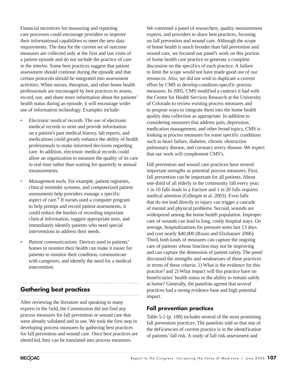Financial incentives for measuring and reporting care processes could encourage providers to improve their informational capabilities to meet the new data requirements. The data for the current set of outcome measures are collected only at the first and last visits of a patient episode and do not include the practice of care in the interim. Some best practices suggest that patient assessment should continue during the episode and that certain protocols should be integrated into assessment activities. When nurses, therapists, and other home health professionals are encouraged by best practices to assess, record, use, and share more information about the patients' health status during an episode, it will encourage wider use of information technology. Examples include:

- *Electronic medical records.* The use of electronic medical records to store and provide information on a patient's past medical history, lab reports, and medications could greatly enhance the ability of health professionals to make informed decisions regarding care. In addition, electronic medical records could allow an organization to measure the quality of its care in real time rather than waiting for quarterly or annual measurements.
- *Management tools.* For example, patient registries, clinical reminder systems, and computerized patient assessments help providers manage a specific aspect of care.<sup>4</sup> If nurses used a computer program to help prompt and record patient assessments, it could reduce the burden of recording important clinical information, suggest appropriate tests, and immediately identify patients who need special interventions to address their needs.
- *Patient communications.* Devices used in patients' homes to monitor their health can make it easier for patients to monitor their condition, communicate with caregivers, and identify the need for a medical intervention.

#### **Gathering best practices**

After reviewing the literature and speaking to many experts in the field, the Commission did not find any process measures for fall prevention or wound care that were already validated and in use. We took the first step in developing process measures by gathering best practices for fall prevention and wound care. Once best practices are identified, they can be translated into process measures.

We convened a panel of researchers, quality measurement experts, and providers to share best practices, focusing on fall prevention and wound care. Although the scope of home health is much broader than fall prevention and wound care, we focused our panel's work on this portion of home health care practice to generate a complete discussion on the specifics of each practice. A failure to limit the scope would not have made good use of our resources. Also, we did not wish to duplicate a current effort by CMS to develop condition-specific process measures. In 2005, CMS modified a contract it had with the Center for Health Services Research at the University of Colorado to review existing process measures and to propose ways to integrate them into the home health quality data collection as appropriate. In addition to considering measures that address pain, depression, medication management, and other broad topics, CMS is looking at process measures for some specific conditions such as heart failure, diabetes, chronic obstructive pulmonary disease, and coronary artery disease. We expect that our work will complement CMS's.

Fall prevention and wound care practices have several important strengths as potential process measures. First, fall prevention can be important for all patients. About one-third of all elderly in the community fall every year; 1 in 10 falls leads to a fracture and 1 in 20 falls requires medical attention (Gillespie et al. 2003). Even falls that do not lead directly to injury can trigger a cascade of mental and physical problems. Second, wounds are widespread among the home health population. Improper care of wounds can lead to long, costly hospital stays. On average, hospitalizations for pressure sores last 13 days and cost nearly \$40,000 (Russo and Elixhauser 2006). Third, both kinds of measures can capture the ongoing care of patients whose function may not be improving and can capture the dimension of patient safety. The panel discussed the strengths and weaknesses of these practices in terms of these criteria: 1) What is the evidence for this practice? and 2) What impact will this practice have on beneficiaries' health status or the ability to remain safely at home? Generally, the panelists agreed that several practices had a strong evidence base and high potential impact.

#### **Fall prevention practices**

Table 5-2 (p. 108) includes several of the most promising fall prevention practices. The panelists told us that one of the deficiencies of current practice is in the identification of patients' fall risk. A study of fall risk assessment and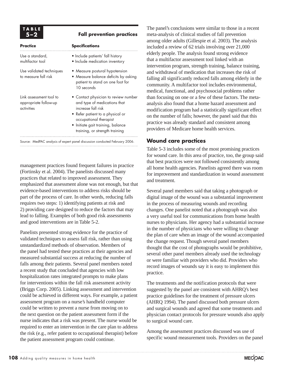#### **5–2 Fall prevention practices**

| <b>Practice</b>                                                | <b>Specifications</b>                                                                                                                                                                                                           |  |
|----------------------------------------------------------------|---------------------------------------------------------------------------------------------------------------------------------------------------------------------------------------------------------------------------------|--|
| Use a standard,<br>multifactor tool                            | • Include patients' fall history<br>• Include medication inventory                                                                                                                                                              |  |
| Use validated techniques<br>to measure fall risk               | • Measure postural hypotension<br>• Measure balance deficits by asking<br>patient to stand on one foot for<br>10 seconds                                                                                                        |  |
| Link assessment tool to<br>appropriate follow-up<br>activities | • Contact physician to review number<br>and type of medications that<br>increase fall risk<br>• Refer patient to a physical or<br>occupational therapist<br>• Initiate gait training, balance<br>training, or strength training |  |

Source: MedPAC analysis of expert panel discussion conducted February 2006.

management practices found frequent failures in practice (Fortinsky et al. 2004). The panelists discussed many practices that related to improved assessment. They emphasized that assessment alone was not enough, but that evidence-based interventions to address risks should be part of the process of care. In other words, reducing falls requires two steps: 1) identifying patients at risk and 2) providing care designed to reduce the factors that may lead to falling. Examples of both good risk assessments and good interventions are in Table 5-2.

Panelists presented strong evidence for the practice of validated techniques to assess fall risk, rather than using unstandardized methods of observation. Members of the panel had tested these practices at their agencies and measured substantial success at reducing the number of falls among their patients. Several panel members noted a recent study that concluded that agencies with low hospitalization rates integrated prompts to make plans for interventions within the fall risk assessment activity (Briggs Corp. 2005). Linking assessment and intervention could be achieved in different ways. For example, a patient assessment program on a nurse's handheld computer could be written to prevent a nurse from moving on to the next question on the patient assessment form if the nurse indicates that a risk was present. The nurse would be required to enter an intervention in the care plan to address the risk (e.g., refer patient to occupational therapist) before the patient assessment program could continue.

The panel's conclusions were similar to those in a recent meta-analysis of clinical studies of fall prevention among older adults (Gillespie et al. 2003). The analysis included a review of 62 trials involving over 21,000 elderly people. The analysis found strong evidence that a multifactor assessment tool linked with an intervention program, strength training, balance training, and withdrawal of medication that increases the risk of falling all significantly reduced falls among elderly in the community. A multifactor tool includes environmental, medical, functional, and psychosocial problems rather than focusing on one or a few of these factors. The metaanalysis also found that a home hazard assessment and modification program had a statistically significant effect on the number of falls; however, the panel said that this practice was already standard and consistent among providers of Medicare home health services.

#### **Wound care practices**

Table 5-3 includes some of the most promising practices for wound care. In this area of practice, too, the group said that best practices were not followed consistently among all home health agencies. Panelists agreed there was room for improvement and standardization in wound assessment and treatment.

Several panel members said that taking a photograph or digital image of the wound was a substantial improvement in the process of measuring wounds and recording changes. One panelist noted that a photograph was also a very useful tool for communications from home health nurses to physicians. Her agency had a substantial increase in the number of physicians who were willing to change the plan of care when an image of the wound accompanied the change request. Though several panel members thought that the cost of photographs would be prohibitive, several other panel members already used the technology or were familiar with providers who did. Providers who record images of wounds say it is easy to implement this practice.

The treatments and the notification protocols that were suggested by the panel are consistent with AHRQ's best practice guidelines for the treatment of pressure ulcers (AHRQ 1994). The panel discussed both pressure ulcers and surgical wounds and agreed that some treatments and physician contact protocols for pressure wounds also apply to surgical wound care.

Among the assessment practices discussed was use of specific wound measurement tools. Providers on the panel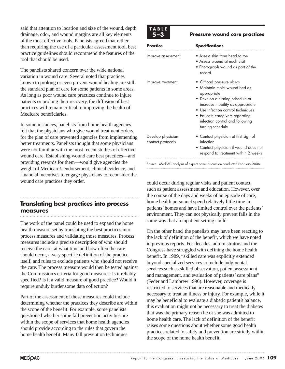said that attention to location and size of the wound, depth, drainage, odor, and wound margins are all key elements of the most effective tools. Panelists agreed that rather than requiring the use of a particular assessment tool, best practice guidelines should recommend the features of the tool that should be used.

The panelists shared concern over the wide national variation in wound care. Several noted that practices known to prolong or even prevent wound healing are still the standard plan of care for some patients in some areas. As long as poor wound care practices continue to injure patients or prolong their recovery, the diffusion of best practices will remain critical to improving the health of Medicare beneficiaries.

In some instances, panelists from home health agencies felt that the physicians who give wound treatment orders for the plan of care prevented agencies from implementing better treatments. Panelists thought that some physicians were not familiar with the most recent studies of effective wound care. Establishing wound care best practices—and providing rewards for them—would give agencies the weight of Medicare's endorsement, clinical evidence, and financial incentives to engage physicians to reconsider the wound care practices they order.

### **Translating best practices into process measures**

The work of the panel could be used to expand the home health measure set by translating the best practices into process measures and validating those measures. Process measures include a precise description of who should receive the care, at what time and how often the care should occur, a very specific definition of the practice itself, and rules to exclude patients who should not receive the care. The process measure would then be tested against the Commission's criteria for good measures: Is it reliably specified? Is it a valid measure of good practice? Would it require unduly burdensome data collection?

Part of the assessment of these measures could include determining whether the practices they describe are within the scope of the benefit. For example, some panelists questioned whether some fall prevention activities are within the scope of services that home health agencies should provide according to the rules that govern the home health benefit. Many fall prevention techniques

# **TABLE**

#### **Pressure wound care practices**

| Practice                               | <b>Specifications</b>                                                                                                                                                                                                                                                           |
|----------------------------------------|---------------------------------------------------------------------------------------------------------------------------------------------------------------------------------------------------------------------------------------------------------------------------------|
| Improve assessment                     | • Assess skin from head to toe<br>• Assess wound at each visit<br>• Photograph wound as part of the<br>record                                                                                                                                                                   |
| Improve treatment                      | • Offload pressure ulcers<br>• Maintain moist wound bed as<br>appropriate<br>• Develop a turning schedule or<br>increase mobility as appropriate<br>• Use infection control techniques<br>• Educate caregivers regarding<br>infection control and following<br>turning schedule |
| Develop physician<br>contact protocols | • Contact physician at first sign of<br>infection<br>• Contact physician if wound does not<br>respond to treatment within 2 weeks                                                                                                                                               |

Source: MedPAC analysis of expert panel discussion conducted February 2006.

could occur during regular visits and patient contact, such as patient assessment and education. However, over the course of the days and weeks of an episode of care, home health personnel spend relatively little time in patients' homes and have limited control over the patients' environment. They can not physically prevent falls in the same way that an inpatient setting could.

On the other hand, the panelists may have been reacting to the lack of definition of the benefit, which we have noted in previous reports. For decades, administrators and the Congress have struggled with defining the home health benefit. In 1989, "skilled care was explicitly extended beyond specialized services to include judgmental services such as skilled observation, patient assessment and management, and evaluation of patients' care plans" (Feder and Lambrew 1996). However, coverage is restricted to services that are reasonable and medically necessary to treat an illness or injury. For example, while it may be beneficial to evaluate a diabetic patient's balance, this evaluation might not be necessary to treat the diabetes that was the primary reason he or she was admitted to home health care. The lack of definition of the benefit raises some questions about whether some good health practices related to safety and prevention are strictly within the scope of the home health benefit.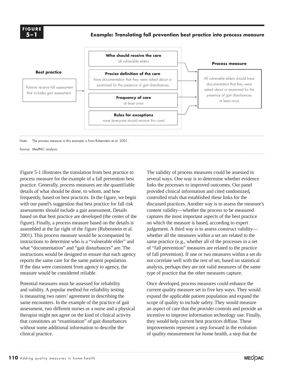**FIGURE 5–1**

**Example: Translating fall prevention best practice into process measure**



Figure 5-1 illustrates the translation from best practice to process measure for the example of a fall prevention best practice. Generally, process measures are the quantifiable details of what should be done, to whom, and how frequently, based on best practices. In the figure, we begin with our panel's suggestion that best practice for fall risk assessments should include a gait assessment. Details based on that best practice are developed (the center of the figure). Finally, a process measure based on the details is assembled at the far right of the figure (Rubenstein et al. 2001). This process measure would be accompanied by instructions to determine who is a "vulnerable elder" and what "documentation" and "gait disturbances" are. The instructions would be designed to ensure that each agency reports the same care for the same patient population. If the data were consistent from agency to agency, the measure would be considered reliable.

Potential measures must be assessed for reliability and validity. A popular method for reliability testing is measuring two raters' agreement in describing the same encounters. In the example of the practice of gait assessment, two different nurses or a nurse and a physical therapist might not agree on the kind of clinical activity that constitutes an "examination" of gait disturbances without some additional information to describe the clinical practice.

The validity of process measures could be assessed in several ways. One way is to determine whether evidence links the processes to improved outcomes. Our panel provided clinical information and cited randomized, controlled trials that established these links for the discussed practices. Another way is to assess the measure's content validity—whether the process to be measured captures the most important aspects of the best practice on which the measure is based, according to expert judgement. A third way is to assess construct validity whether all the measures within a set are related to the same practice (e.g., whether all of the processes in a set of "fall prevention" measures are related to the practice of fall prevention). If one or two measures within a set do not correlate well with the rest of set, based on statistical analysis, perhaps they are not valid measures of the same type of practice that the other measures capture.

Once developed, process measures could enhance the current quality measure set in five key ways. They would expand the applicable patient population and expand the scope of quality to include safety. They would measure an aspect of care that the provider controls and provide an incentive to improve information technology use. Finally, they would help current best practices diffuse. These improvements represent a step forward in the evolution of quality measurement for home health, a step that the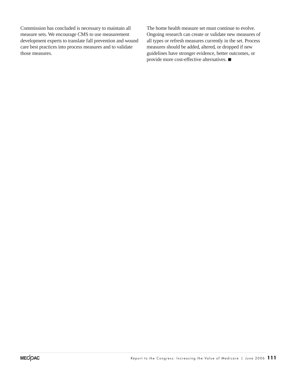Commission has concluded is necessary to maintain all measure sets. We encourage CMS to use measurement development experts to translate fall prevention and wound care best practices into process measures and to validate those measures.

The home health measure set must continue to evolve. Ongoing research can create or validate new measures of all types or refresh measures currently in the set. Process measures should be added, altered, or dropped if new guidelines have stronger evidence, better outcomes, or provide more cost-effective alternatives.  $\blacksquare$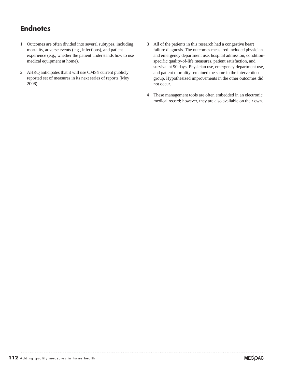# **Endnotes**

- 1 Outcomes are often divided into several subtypes, including mortality, adverse events (e.g., infections), and patient experience (e.g., whether the patient understands how to use medical equipment at home).
- 2 AHRQ anticipates that it will use CMS's current publicly reported set of measures in its next series of reports (Moy 2006).
- 3 All of the patients in this research had a congestive heart failure diagnosis. The outcomes measured included physician and emergency department use, hospital admission, conditionspecific quality-of-life measures, patient satisfaction, and survival at 90 days. Physician use, emergency department use, and patient mortality remained the same in the intervention group. Hypothesized improvements in the other outcomes did not occur.
- 4 These management tools are often embedded in an electronic medical record; however, they are also available on their own.